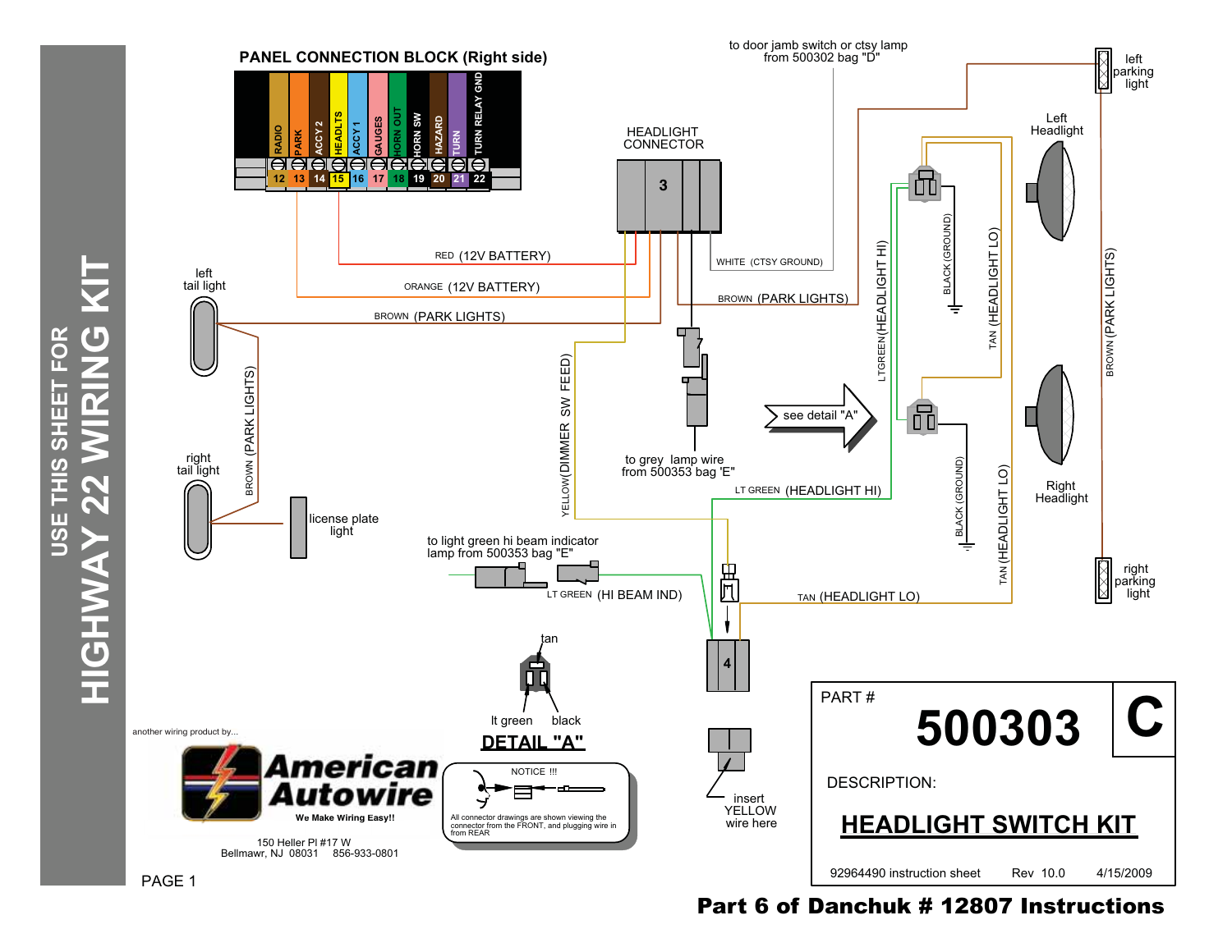

Part 6 of Danchuk # 12807 Instructions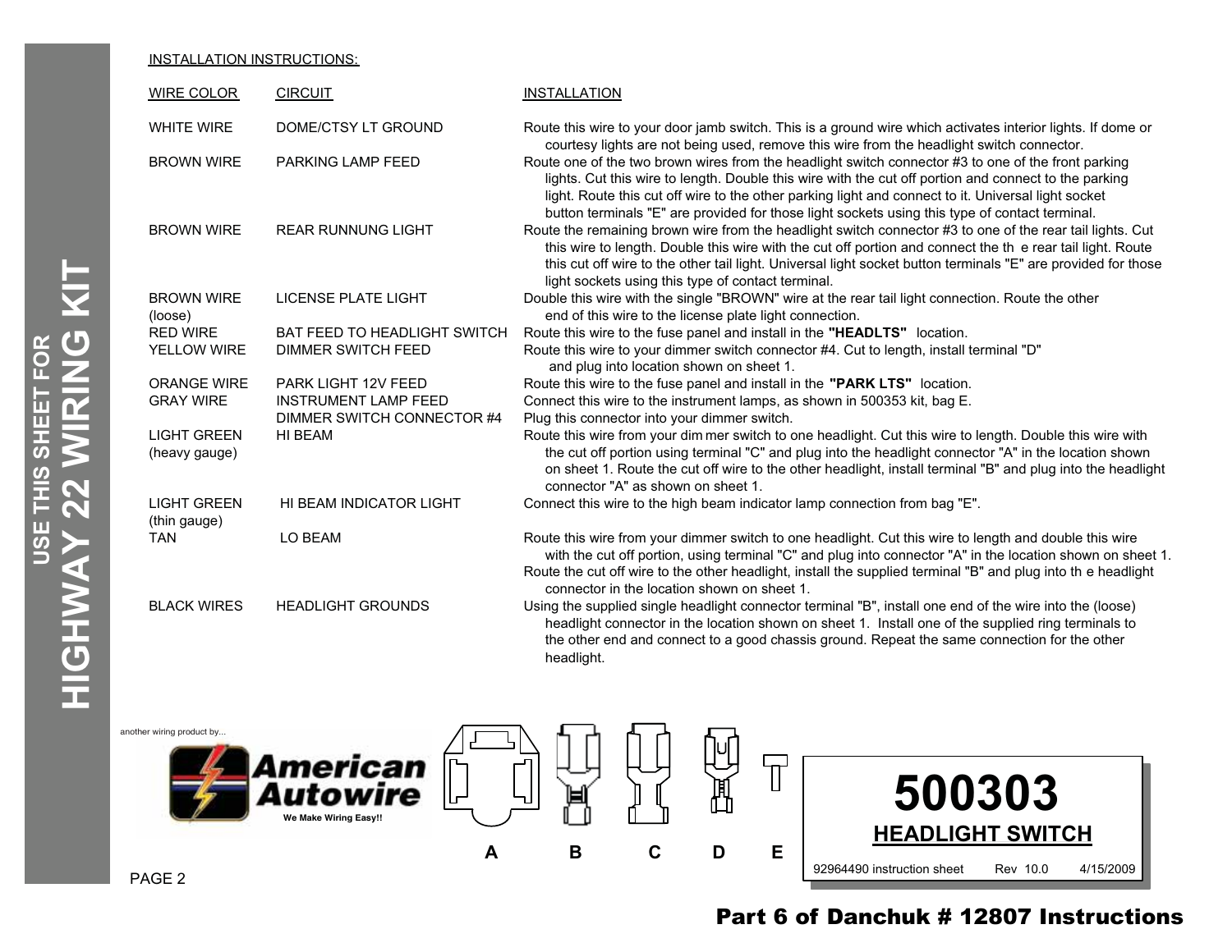### INSTALLATION INSTRUCTIONS:

| <b>WIRE COLOR</b>                   | <b>CIRCUIT</b>               | <b>INSTALLATION</b>                                                                                                                                                                                                                                                                                                                                                                                                   |
|-------------------------------------|------------------------------|-----------------------------------------------------------------------------------------------------------------------------------------------------------------------------------------------------------------------------------------------------------------------------------------------------------------------------------------------------------------------------------------------------------------------|
| <b>WHITE WIRE</b>                   | DOME/CTSY LT GROUND          | Route this wire to your door jamb switch. This is a ground wire which activates interior lights. If dome or<br>courtesy lights are not being used, remove this wire from the headlight switch connector.                                                                                                                                                                                                              |
| <b>BROWN WIRE</b>                   | PARKING LAMP FEED            | Route one of the two brown wires from the headlight switch connector #3 to one of the front parking<br>lights. Cut this wire to length. Double this wire with the cut off portion and connect to the parking<br>light. Route this cut off wire to the other parking light and connect to it. Universal light socket<br>button terminals "E" are provided for those light sockets using this type of contact terminal. |
| <b>BROWN WIRE</b>                   | <b>REAR RUNNUNG LIGHT</b>    | Route the remaining brown wire from the headlight switch connector #3 to one of the rear tail lights. Cut<br>this wire to length. Double this wire with the cut off portion and connect the the rear tail light. Route<br>this cut off wire to the other tail light. Universal light socket button terminals "E" are provided for those<br>light sockets using this type of contact terminal.                         |
| <b>BROWN WIRE</b><br>(loose)        | LICENSE PLATE LIGHT          | Double this wire with the single "BROWN" wire at the rear tail light connection. Route the other<br>end of this wire to the license plate light connection.                                                                                                                                                                                                                                                           |
| <b>RED WIRE</b>                     | BAT FEED TO HEADLIGHT SWITCH | Route this wire to the fuse panel and install in the "HEADLTS" location.                                                                                                                                                                                                                                                                                                                                              |
| <b>YELLOW WIRE</b>                  | <b>DIMMER SWITCH FEED</b>    | Route this wire to your dimmer switch connector #4. Cut to length, install terminal "D"<br>and plug into location shown on sheet 1.                                                                                                                                                                                                                                                                                   |
| <b>ORANGE WIRE</b>                  | PARK LIGHT 12V FEED          | Route this wire to the fuse panel and install in the "PARK LTS" location.                                                                                                                                                                                                                                                                                                                                             |
| <b>GRAY WIRE</b>                    | <b>INSTRUMENT LAMP FEED</b>  | Connect this wire to the instrument lamps, as shown in 500353 kit, bag E.                                                                                                                                                                                                                                                                                                                                             |
|                                     | DIMMER SWITCH CONNECTOR #4   | Plug this connector into your dimmer switch.                                                                                                                                                                                                                                                                                                                                                                          |
| <b>LIGHT GREEN</b><br>(heavy gauge) | HI BEAM                      | Route this wire from your dim mer switch to one headlight. Cut this wire to length. Double this wire with<br>the cut off portion using terminal "C" and plug into the headlight connector "A" in the location shown<br>on sheet 1. Route the cut off wire to the other headlight, install terminal "B" and plug into the headlight<br>connector "A" as shown on sheet 1.                                              |
| <b>LIGHT GREEN</b><br>(thin gauge)  | HI BEAM INDICATOR LIGHT      | Connect this wire to the high beam indicator lamp connection from bag "E".                                                                                                                                                                                                                                                                                                                                            |
| <b>TAN</b>                          | LO BEAM                      | Route this wire from your dimmer switch to one headlight. Cut this wire to length and double this wire<br>with the cut off portion, using terminal "C" and plug into connector "A" in the location shown on sheet 1.<br>Route the cut off wire to the other headlight, install the supplied terminal "B" and plug into the headlight<br>connector in the location shown on sheet 1.                                   |
| <b>BLACK WIRES</b>                  | <b>HEADLIGHT GROUNDS</b>     | Using the supplied single headlight connector terminal "B", install one end of the wire into the (loose)<br>headlight connector in the location shown on sheet 1. Install one of the supplied ring terminals to<br>the other end and connect to a good chassis ground. Repeat the same connection for the other<br>headlight.                                                                                         |



# Part 6 of Danchuk # 12807 Instructions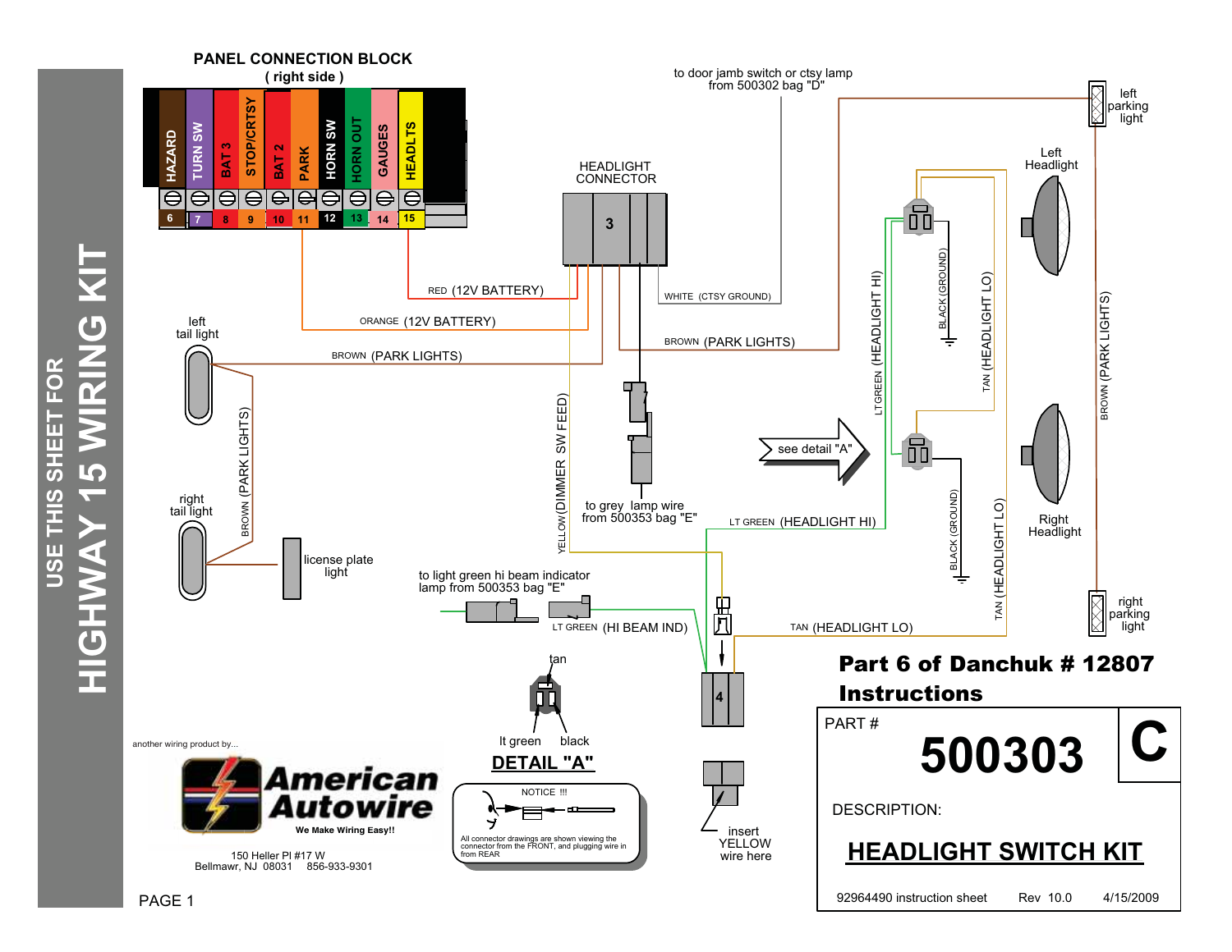

HIGHWAY 15 WIRING KIT **HIGHWAY 15 WIRING KIT** USE THIS SHEET FOR **USE THIS SHEET FOR**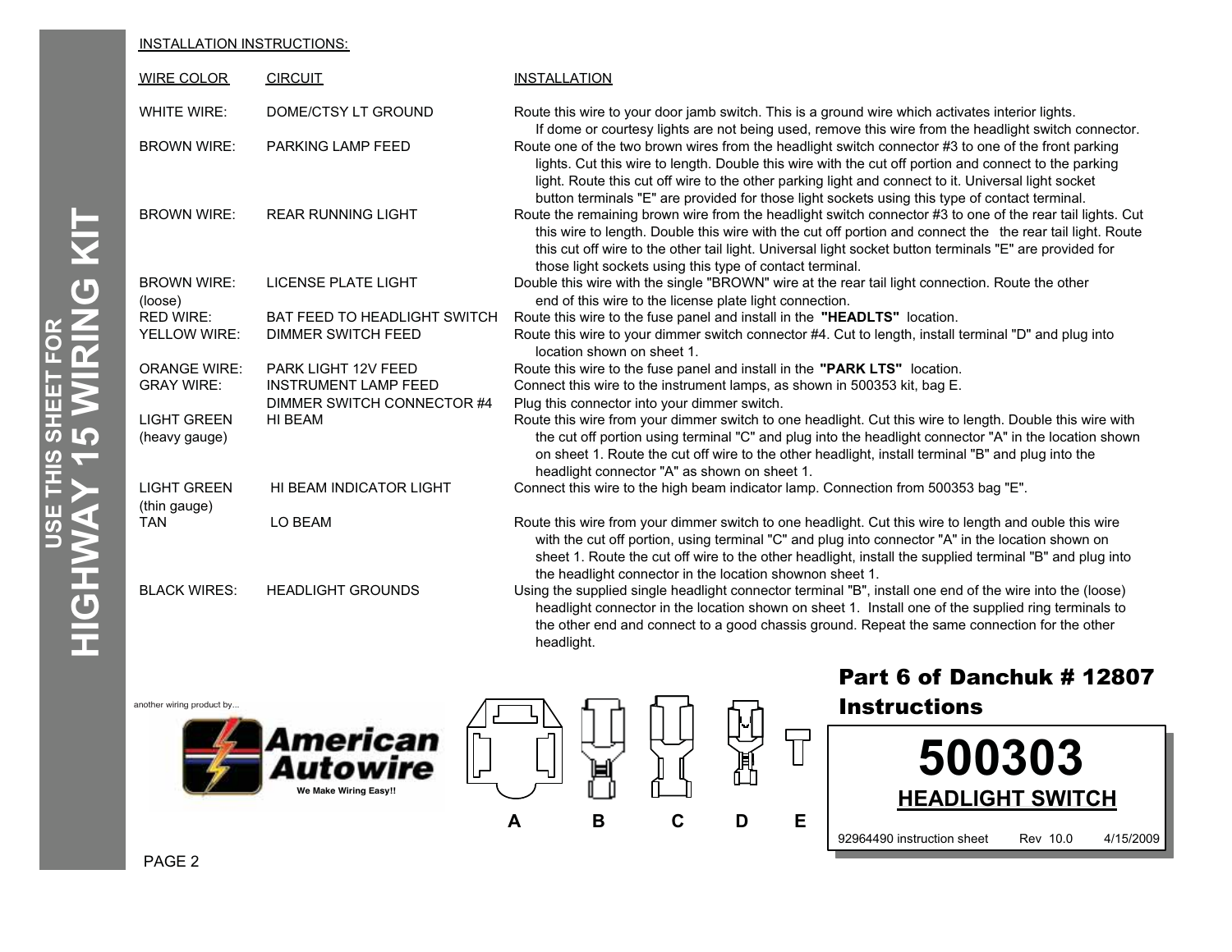### INSTALLATION INSTRUCTIONS:

| <b>WIRE COLOR</b>                   | <b>CIRCUIT</b>                      | <b>INSTALLATION</b>                                                                                                                                                                                                                                                                                                                                                                                                                                                                                                           |
|-------------------------------------|-------------------------------------|-------------------------------------------------------------------------------------------------------------------------------------------------------------------------------------------------------------------------------------------------------------------------------------------------------------------------------------------------------------------------------------------------------------------------------------------------------------------------------------------------------------------------------|
| <b>WHITE WIRE:</b>                  | DOME/CTSY LT GROUND                 | Route this wire to your door jamb switch. This is a ground wire which activates interior lights.                                                                                                                                                                                                                                                                                                                                                                                                                              |
| <b>BROWN WIRE:</b>                  | PARKING LAMP FEED                   | If dome or courtesy lights are not being used, remove this wire from the headlight switch connector.<br>Route one of the two brown wires from the headlight switch connector #3 to one of the front parking<br>lights. Cut this wire to length. Double this wire with the cut off portion and connect to the parking<br>light. Route this cut off wire to the other parking light and connect to it. Universal light socket<br>button terminals "E" are provided for those light sockets using this type of contact terminal. |
| <b>BROWN WIRE:</b>                  | <b>REAR RUNNING LIGHT</b>           | Route the remaining brown wire from the headlight switch connector #3 to one of the rear tail lights. Cut<br>this wire to length. Double this wire with the cut off portion and connect the the rear tail light. Route<br>this cut off wire to the other tail light. Universal light socket button terminals "E" are provided for<br>those light sockets using this type of contact terminal.                                                                                                                                 |
| <b>BROWN WIRE:</b><br>(loose)       | LICENSE PLATE LIGHT                 | Double this wire with the single "BROWN" wire at the rear tail light connection. Route the other<br>end of this wire to the license plate light connection.                                                                                                                                                                                                                                                                                                                                                                   |
| <b>RED WIRE:</b>                    | <b>BAT FEED TO HEADLIGHT SWITCH</b> | Route this wire to the fuse panel and install in the "HEADLTS" location.                                                                                                                                                                                                                                                                                                                                                                                                                                                      |
| YELLOW WIRE:                        | <b>DIMMER SWITCH FEED</b>           | Route this wire to your dimmer switch connector #4. Cut to length, install terminal "D" and plug into<br>location shown on sheet 1.                                                                                                                                                                                                                                                                                                                                                                                           |
| <b>ORANGE WIRE:</b>                 | <b>PARK LIGHT 12V FEED</b>          | Route this wire to the fuse panel and install in the "PARK LTS" location.                                                                                                                                                                                                                                                                                                                                                                                                                                                     |
| <b>GRAY WIRE:</b>                   | <b>INSTRUMENT LAMP FEED</b>         | Connect this wire to the instrument lamps, as shown in 500353 kit, bag E.                                                                                                                                                                                                                                                                                                                                                                                                                                                     |
|                                     | DIMMER SWITCH CONNECTOR #4          | Plug this connector into your dimmer switch.                                                                                                                                                                                                                                                                                                                                                                                                                                                                                  |
| <b>LIGHT GREEN</b><br>(heavy gauge) | HI BEAM                             | Route this wire from your dimmer switch to one headlight. Cut this wire to length. Double this wire with<br>the cut off portion using terminal "C" and plug into the headlight connector "A" in the location shown<br>on sheet 1. Route the cut off wire to the other headlight, install terminal "B" and plug into the<br>headlight connector "A" as shown on sheet 1.                                                                                                                                                       |
| <b>LIGHT GREEN</b>                  | HI BEAM INDICATOR LIGHT             | Connect this wire to the high beam indicator lamp. Connection from 500353 bag "E".                                                                                                                                                                                                                                                                                                                                                                                                                                            |
| (thin gauge)                        |                                     |                                                                                                                                                                                                                                                                                                                                                                                                                                                                                                                               |
| <b>TAN</b>                          | LO BEAM                             | Route this wire from your dimmer switch to one headlight. Cut this wire to length and ouble this wire<br>with the cut off portion, using terminal "C" and plug into connector "A" in the location shown on<br>sheet 1. Route the cut off wire to the other headlight, install the supplied terminal "B" and plug into<br>the headlight connector in the location shownon sheet 1.                                                                                                                                             |
| <b>BLACK WIRES:</b>                 | <b>HEADLIGHT GROUNDS</b>            | Using the supplied single headlight connector terminal "B", install one end of the wire into the (loose)<br>headlight connector in the location shown on sheet 1. Install one of the supplied ring terminals to<br>the other end and connect to a good chassis ground. Repeat the same connection for the other<br>headlight.                                                                                                                                                                                                 |

 $\overline{U}$ 

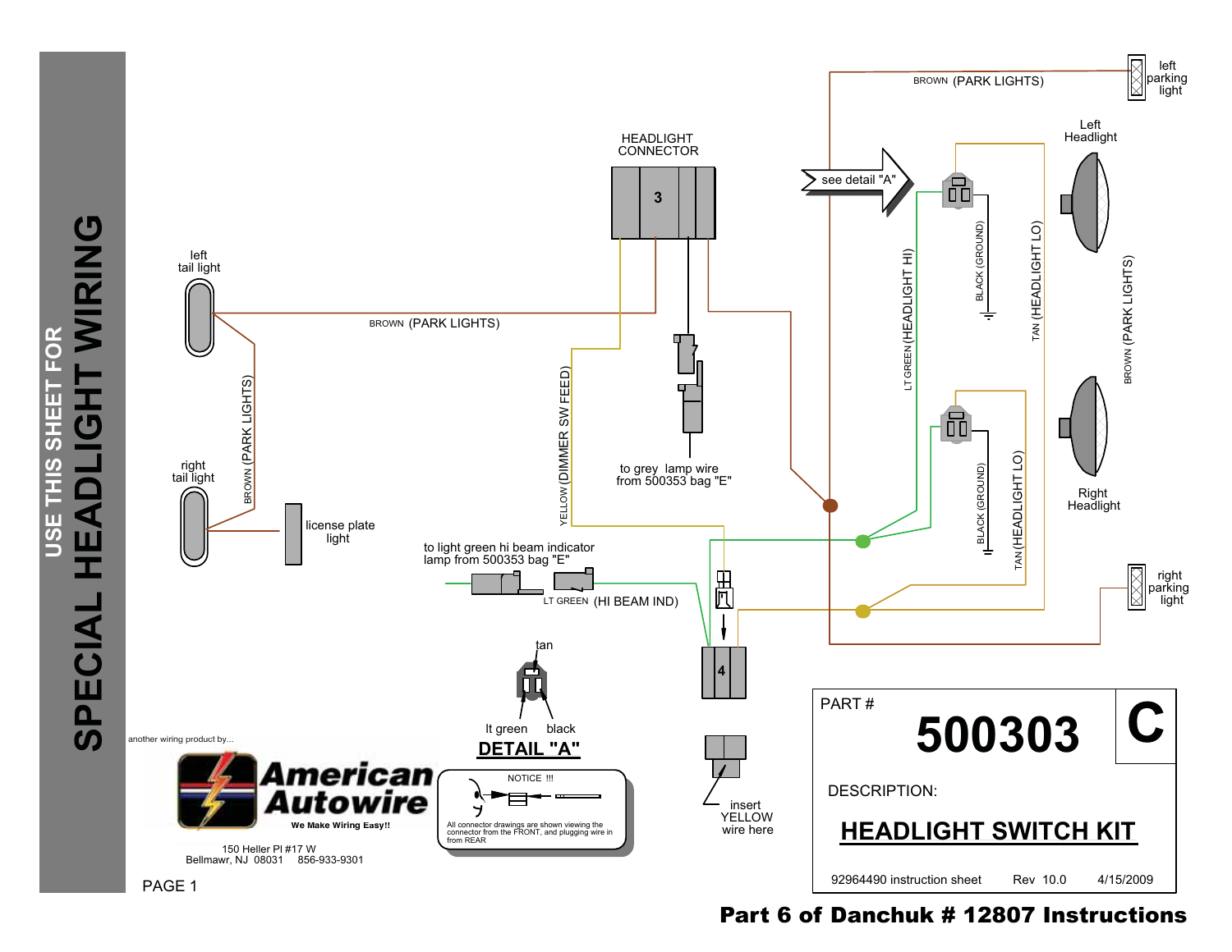

## Part 6 of Danchuk # 12807 Instructions

**USE THIS SHEET FOR**

THIS SHEET

USE

FOR